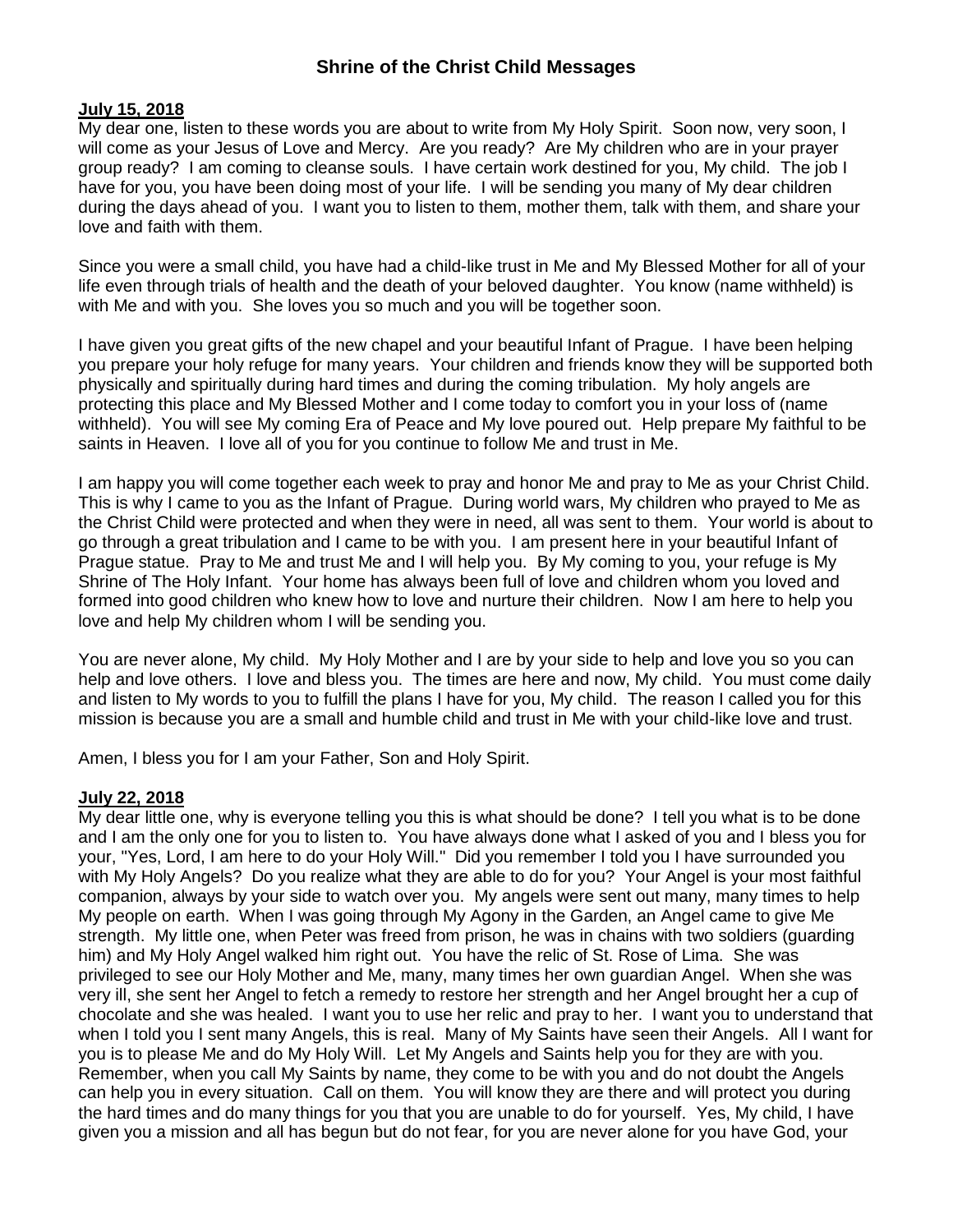# **Shrine of the Christ Child Messages**

#### **July 15, 2018**

My dear one, listen to these words you are about to write from My Holy Spirit. Soon now, very soon, I will come as your Jesus of Love and Mercy. Are you ready? Are My children who are in your prayer group ready? I am coming to cleanse souls. I have certain work destined for you, My child. The job I have for you, you have been doing most of your life. I will be sending you many of My dear children during the days ahead of you. I want you to listen to them, mother them, talk with them, and share your love and faith with them.

Since you were a small child, you have had a child-like trust in Me and My Blessed Mother for all of your life even through trials of health and the death of your beloved daughter. You know (name withheld) is with Me and with you. She loves you so much and you will be together soon.

I have given you great gifts of the new chapel and your beautiful Infant of Prague. I have been helping you prepare your holy refuge for many years. Your children and friends know they will be supported both physically and spiritually during hard times and during the coming tribulation. My holy angels are protecting this place and My Blessed Mother and I come today to comfort you in your loss of (name withheld). You will see My coming Era of Peace and My love poured out. Help prepare My faithful to be saints in Heaven. I love all of you for you continue to follow Me and trust in Me.

I am happy you will come together each week to pray and honor Me and pray to Me as your Christ Child. This is why I came to you as the Infant of Prague. During world wars, My children who prayed to Me as the Christ Child were protected and when they were in need, all was sent to them. Your world is about to go through a great tribulation and I came to be with you. I am present here in your beautiful Infant of Prague statue. Pray to Me and trust Me and I will help you. By My coming to you, your refuge is My Shrine of The Holy Infant. Your home has always been full of love and children whom you loved and formed into good children who knew how to love and nurture their children. Now I am here to help you love and help My children whom I will be sending you.

You are never alone, My child. My Holy Mother and I are by your side to help and love you so you can help and love others. I love and bless you. The times are here and now, My child. You must come daily and listen to My words to you to fulfill the plans I have for you, My child. The reason I called you for this mission is because you are a small and humble child and trust in Me with your child-like love and trust.

Amen, I bless you for I am your Father, Son and Holy Spirit.

### **July 22, 2018**

My dear little one, why is everyone telling you this is what should be done? I tell you what is to be done and I am the only one for you to listen to. You have always done what I asked of you and I bless you for your, "Yes, Lord, I am here to do your Holy Will." Did you remember I told you I have surrounded you with My Holy Angels? Do you realize what they are able to do for you? Your Angel is your most faithful companion, always by your side to watch over you. My angels were sent out many, many times to help My people on earth. When I was going through My Agony in the Garden, an Angel came to give Me strength. My little one, when Peter was freed from prison, he was in chains with two soldiers (guarding him) and My Holy Angel walked him right out. You have the relic of St. Rose of Lima. She was privileged to see our Holy Mother and Me, many, many times her own guardian Angel. When she was very ill, she sent her Angel to fetch a remedy to restore her strength and her Angel brought her a cup of chocolate and she was healed. I want you to use her relic and pray to her. I want you to understand that when I told you I sent many Angels, this is real. Many of My Saints have seen their Angels. All I want for you is to please Me and do My Holy Will. Let My Angels and Saints help you for they are with you. Remember, when you call My Saints by name, they come to be with you and do not doubt the Angels can help you in every situation. Call on them. You will know they are there and will protect you during the hard times and do many things for you that you are unable to do for yourself. Yes, My child, I have given you a mission and all has begun but do not fear, for you are never alone for you have God, your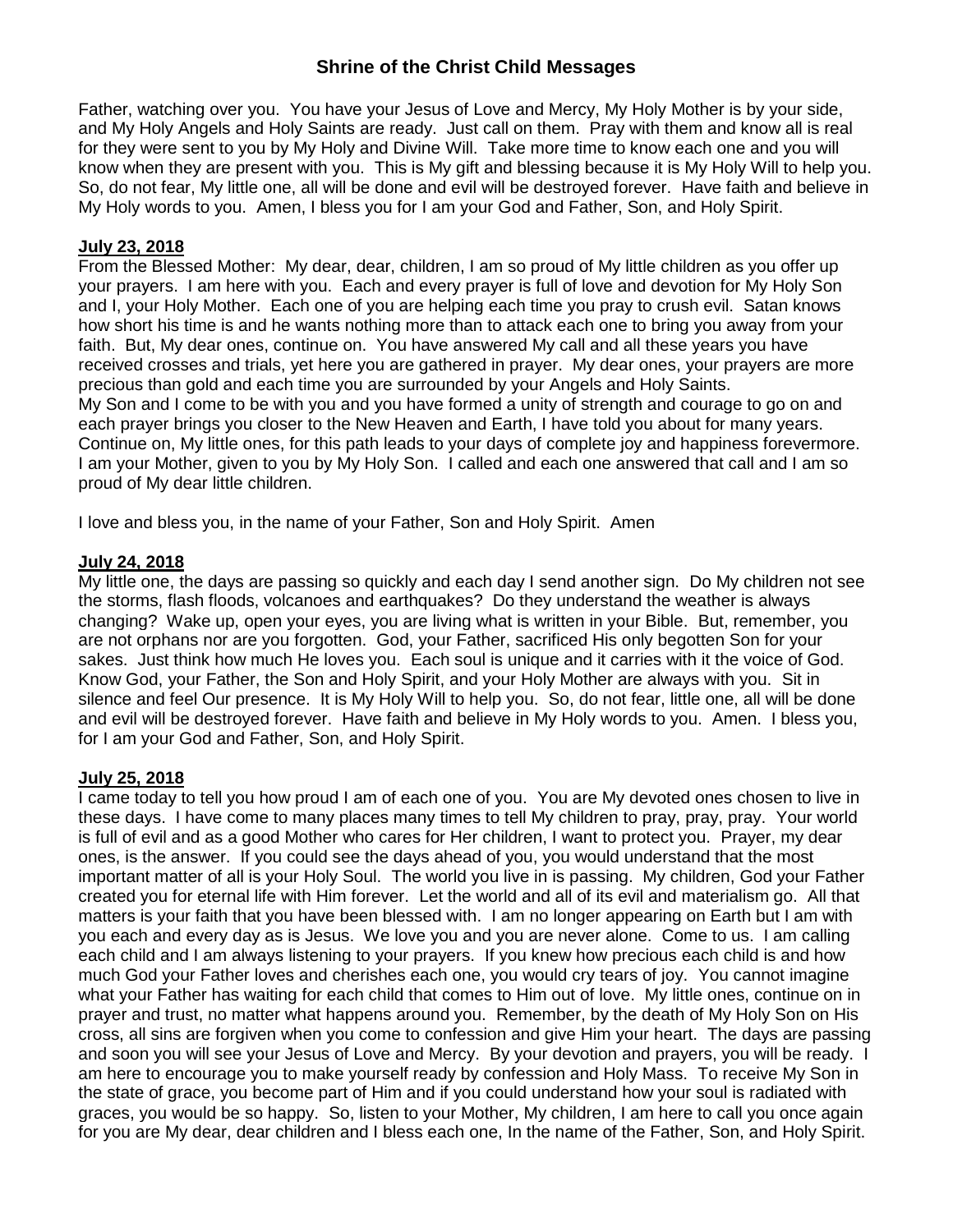# **Shrine of the Christ Child Messages**

Father, watching over you. You have your Jesus of Love and Mercy, My Holy Mother is by your side, and My Holy Angels and Holy Saints are ready. Just call on them. Pray with them and know all is real for they were sent to you by My Holy and Divine Will. Take more time to know each one and you will know when they are present with you. This is My gift and blessing because it is My Holy Will to help you. So, do not fear, My little one, all will be done and evil will be destroyed forever. Have faith and believe in My Holy words to you. Amen, I bless you for I am your God and Father, Son, and Holy Spirit.

### **July 23, 2018**

From the Blessed Mother: My dear, dear, children, I am so proud of My little children as you offer up your prayers. I am here with you. Each and every prayer is full of love and devotion for My Holy Son and I, your Holy Mother. Each one of you are helping each time you pray to crush evil. Satan knows how short his time is and he wants nothing more than to attack each one to bring you away from your faith. But, My dear ones, continue on. You have answered My call and all these years you have received crosses and trials, yet here you are gathered in prayer. My dear ones, your prayers are more precious than gold and each time you are surrounded by your Angels and Holy Saints. My Son and I come to be with you and you have formed a unity of strength and courage to go on and each prayer brings you closer to the New Heaven and Earth, I have told you about for many years. Continue on, My little ones, for this path leads to your days of complete joy and happiness forevermore. I am your Mother, given to you by My Holy Son. I called and each one answered that call and I am so proud of My dear little children.

I love and bless you, in the name of your Father, Son and Holy Spirit. Amen

#### **July 24, 2018**

My little one, the days are passing so quickly and each day I send another sign. Do My children not see the storms, flash floods, volcanoes and earthquakes? Do they understand the weather is always changing? Wake up, open your eyes, you are living what is written in your Bible. But, remember, you are not orphans nor are you forgotten. God, your Father, sacrificed His only begotten Son for your sakes. Just think how much He loves you. Each soul is unique and it carries with it the voice of God. Know God, your Father, the Son and Holy Spirit, and your Holy Mother are always with you. Sit in silence and feel Our presence. It is My Holy Will to help you. So, do not fear, little one, all will be done and evil will be destroyed forever. Have faith and believe in My Holy words to you. Amen. I bless you, for I am your God and Father, Son, and Holy Spirit.

### **July 25, 2018**

I came today to tell you how proud I am of each one of you. You are My devoted ones chosen to live in these days. I have come to many places many times to tell My children to pray, pray, pray. Your world is full of evil and as a good Mother who cares for Her children, I want to protect you. Prayer, my dear ones, is the answer. If you could see the days ahead of you, you would understand that the most important matter of all is your Holy Soul. The world you live in is passing. My children, God your Father created you for eternal life with Him forever. Let the world and all of its evil and materialism go. All that matters is your faith that you have been blessed with. I am no longer appearing on Earth but I am with you each and every day as is Jesus. We love you and you are never alone. Come to us. I am calling each child and I am always listening to your prayers. If you knew how precious each child is and how much God your Father loves and cherishes each one, you would cry tears of joy. You cannot imagine what your Father has waiting for each child that comes to Him out of love. My little ones, continue on in prayer and trust, no matter what happens around you. Remember, by the death of My Holy Son on His cross, all sins are forgiven when you come to confession and give Him your heart. The days are passing and soon you will see your Jesus of Love and Mercy. By your devotion and prayers, you will be ready. I am here to encourage you to make yourself ready by confession and Holy Mass. To receive My Son in the state of grace, you become part of Him and if you could understand how your soul is radiated with graces, you would be so happy. So, listen to your Mother, My children, I am here to call you once again for you are My dear, dear children and I bless each one, In the name of the Father, Son, and Holy Spirit.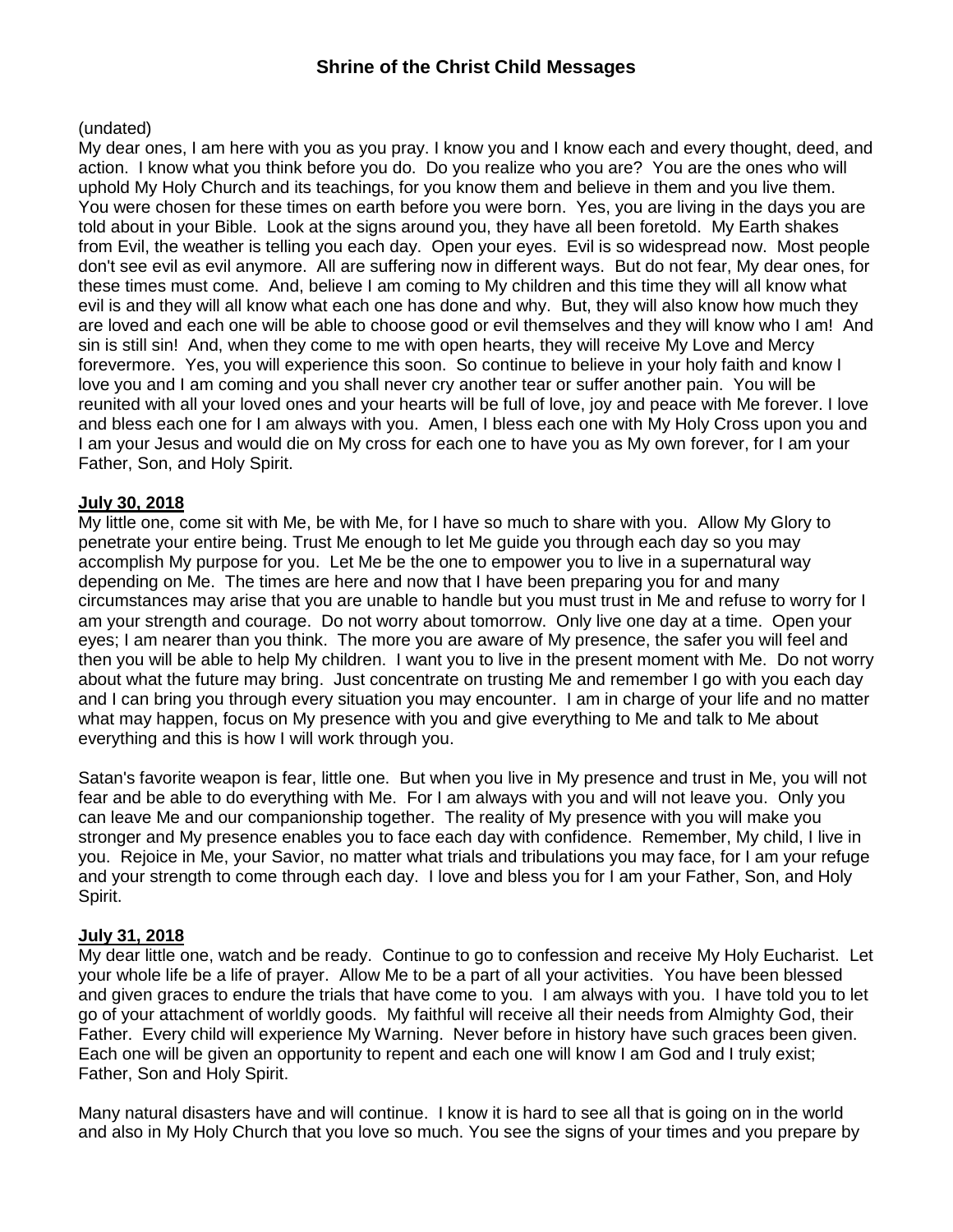### (undated)

My dear ones, I am here with you as you pray. I know you and I know each and every thought, deed, and action. I know what you think before you do. Do you realize who you are? You are the ones who will uphold My Holy Church and its teachings, for you know them and believe in them and you live them. You were chosen for these times on earth before you were born. Yes, you are living in the days you are told about in your Bible. Look at the signs around you, they have all been foretold. My Earth shakes from Evil, the weather is telling you each day. Open your eyes. Evil is so widespread now. Most people don't see evil as evil anymore. All are suffering now in different ways. But do not fear, My dear ones, for these times must come. And, believe I am coming to My children and this time they will all know what evil is and they will all know what each one has done and why. But, they will also know how much they are loved and each one will be able to choose good or evil themselves and they will know who I am! And sin is still sin! And, when they come to me with open hearts, they will receive My Love and Mercy forevermore. Yes, you will experience this soon. So continue to believe in your holy faith and know I love you and I am coming and you shall never cry another tear or suffer another pain. You will be reunited with all your loved ones and your hearts will be full of love, joy and peace with Me forever. I love and bless each one for I am always with you. Amen, I bless each one with My Holy Cross upon you and I am your Jesus and would die on My cross for each one to have you as My own forever, for I am your Father, Son, and Holy Spirit.

### **July 30, 2018**

My little one, come sit with Me, be with Me, for I have so much to share with you. Allow My Glory to penetrate your entire being. Trust Me enough to let Me guide you through each day so you may accomplish My purpose for you. Let Me be the one to empower you to live in a supernatural way depending on Me. The times are here and now that I have been preparing you for and many circumstances may arise that you are unable to handle but you must trust in Me and refuse to worry for I am your strength and courage. Do not worry about tomorrow. Only live one day at a time. Open your eyes; I am nearer than you think. The more you are aware of My presence, the safer you will feel and then you will be able to help My children. I want you to live in the present moment with Me. Do not worry about what the future may bring. Just concentrate on trusting Me and remember I go with you each day and I can bring you through every situation you may encounter. I am in charge of your life and no matter what may happen, focus on My presence with you and give everything to Me and talk to Me about everything and this is how I will work through you.

Satan's favorite weapon is fear, little one. But when you live in My presence and trust in Me, you will not fear and be able to do everything with Me. For I am always with you and will not leave you. Only you can leave Me and our companionship together. The reality of My presence with you will make you stronger and My presence enables you to face each day with confidence. Remember, My child, I live in you. Rejoice in Me, your Savior, no matter what trials and tribulations you may face, for I am your refuge and your strength to come through each day. I love and bless you for I am your Father, Son, and Holy Spirit.

## **July 31, 2018**

My dear little one, watch and be ready. Continue to go to confession and receive My Holy Eucharist. Let your whole life be a life of prayer. Allow Me to be a part of all your activities. You have been blessed and given graces to endure the trials that have come to you. I am always with you. I have told you to let go of your attachment of worldly goods. My faithful will receive all their needs from Almighty God, their Father. Every child will experience My Warning. Never before in history have such graces been given. Each one will be given an opportunity to repent and each one will know I am God and I truly exist; Father, Son and Holy Spirit.

Many natural disasters have and will continue. I know it is hard to see all that is going on in the world and also in My Holy Church that you love so much. You see the signs of your times and you prepare by